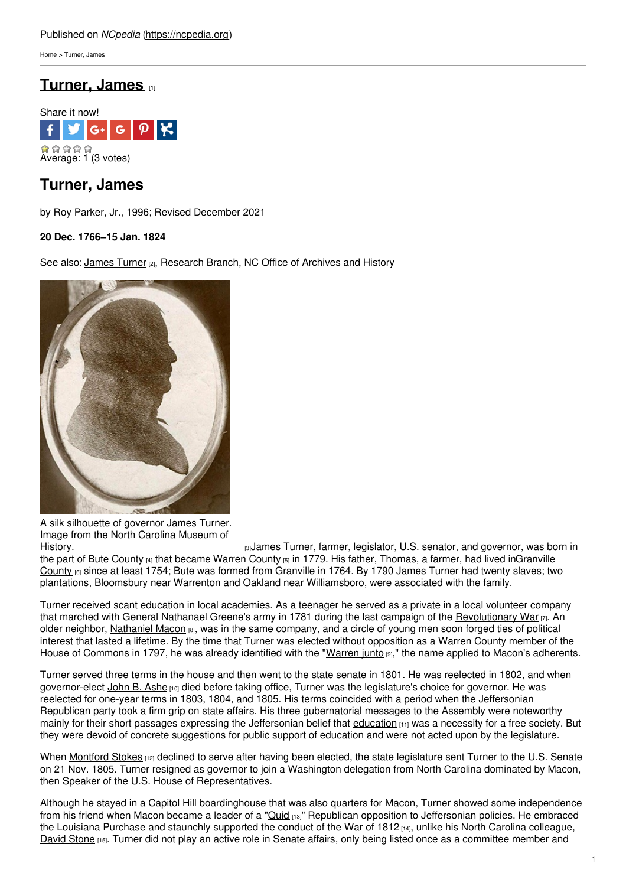[Home](https://ncpedia.org/) > Turner, James

# **[Turner,](https://ncpedia.org/biography/turner-james) James [1]**



# **Turner, James**

by Roy Parker, Jr., 1996; Revised December 2021

### **20 Dec. 1766–15 Jan. 1824**

See also: [James](https://ncpedia.org/turner-james-research-branch-nc-oah) Turner (2), Research Branch, NC Office of Archives and History



A silk silhouette of governor James Turner. Image from the North Carolina Museum of

[History.](http://collections.ncdcr.gov/RediscoveryProficioPublicSearch/ShowItem.aspx?24564+) Thistory. The same state of the state of the state of the state of the state of the state of the state of the state of the state of the state of the state of the state of the state of the state of the state of the the part of Bute [County](https://ncpedia.org/bute-county) (4) that became [Warren](https://ncpedia.org/geography/warren) County [5] in 1779. His father, Thomas, a farmer, had lived [inGranville](https://ncpedia.org/geography/granville) County [6] since at least 1754; Bute was formed from Granville in 1764. By 1790 James Turner had twenty slaves; two plantations, Bloomsbury near Warrenton and Oakland near Williamsboro, were associated with the family.

Turner received scant education in local academies. As a teenager he served as a private in a local volunteer company that marched with General Nathanael Greene's army in 1781 during the last campaign of the [Revolutionary](https://ncpedia.org/american-revolution) War  $\pi$ . An older neighbor, [Nathaniel](https://ncpedia.org/biography/macon-nathaniel-0) Macon [8], was in the same company, and a circle of young men soon forged ties of political interest that lasted a lifetime. By the time that Turner was elected without opposition as a Warren County member of the House of Commons in 1797, he was already identified with the "[Warren](https://ncpedia.org/warren-junto) junto [9]," the name applied to Macon's adherents.

Turner served three terms in the house and then went to the state senate in 1801. He was reelected in 1802, and when governor-elect [John](https://ncpedia.org/biography/ashe-john-baptista) B. Ashe [10] died before taking office, Turner was the legislature's choice for governor. He was reelected for one-year terms in 1803, 1804, and 1805. His terms coincided with a period when the Jeffersonian Republican party took a firm grip on state affairs. His three gubernatorial messages to the Assembly were noteworthy mainly for their short passages expressing the Jeffersonian belief that [education](https://ncpedia.org/education) [11] was a necessity for a free society. But they were devoid of concrete suggestions for public support of education and were not acted upon by the legislature.

When [Montford](https://ncpedia.org/biography/stokes-montfort) Stokes [12] declined to serve after having been elected, the state legislature sent Turner to the U.S. Senate on 21 Nov. 1805. Turner resigned as governor to join a Washington delegation from North Carolina dominated by Macon, then Speaker of the U.S. House of Representatives.

Although he stayed in a Capitol Hill boardinghouse that was also quarters for Macon, Turner showed some independence from his friend when Macon became a leader of a ["Quid](https://ncpedia.org/quids) [13]" Republican opposition to Jeffersonian policies. He embraced the Louisiana Purchase and staunchly supported the conduct of the War of [1812](https://ncpedia.org/war-1812) [14], unlike his North Carolina colleague, [David](https://ncpedia.org/biography/stone-david) Stone [15]. Turner did not play an active role in Senate affairs, only being listed once as a committee member and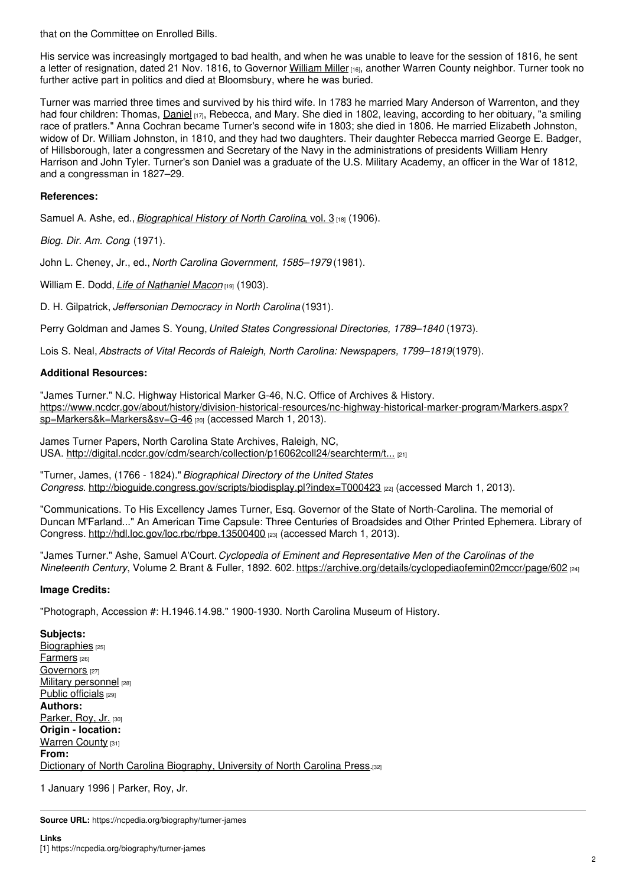that on the Committee on Enrolled Bills.

His service was increasingly mortgaged to bad health, and when he was unable to leave for the session of 1816, he sent a letter of resignation, dated 21 Nov. 1816, to Governor [William](https://ncpedia.org/biography/miller-william) Miller [16], another Warren County neighbor. Turner took no further active part in politics and died at Bloomsbury, where he was buried.

Turner was married three times and survived by his third wife. In 1783 he married Mary Anderson of Warrenton, and they had four children: Thomas, [Daniel](https://ncpedia.org/biography/turner-daniel) [17], Rebecca, and Mary. She died in 1802, leaving, according to her obituary, "a smiling race of pratlers." Anna Cochran became Turner's second wife in 1803; she died in 1806. He married Elizabeth Johnston, widow of Dr. William Johnston, in 1810, and they had two daughters. Their daughter Rebecca married George E. Badger, of Hillsborough, later a congressmen and Secretary of the Navy in the administrations of presidents William Henry Harrison and John Tyler. Turner's son Daniel was a graduate of the U.S. Military Academy, an officer in the War of 1812, and a congressman in 1827–29.

### **References:**

Samuel A. Ashe, ed., *[Biographical](https://archive.org/stream/biographicalhis00ashegoog#page/n400/mode/2up) History of North Carolina*, vol. 3 [18] (1906).

*Biog. Dir. Am. Cong*. (1971).

John L. Cheney, Jr., ed., *North Carolina Government, 1585–1979* (1981).

William E. Dodd, *Life of [Nathaniel](https://archive.org/details/lifenathanielmaco00doddrich) Macon* [19] (1903).

D. H. Gilpatrick, *Jeffersonian Democracy in North Carolina* (1931).

Perry Goldman and James S. Young,*United States Congressional Directories, 1789–1840* (1973).

Lois S. Neal,*Abstracts of Vital Records of Raleigh, North Carolina: Newspapers, 1799–1819*(1979).

#### **Additional Resources:**

"James Turner." N.C. Highway Historical Marker G-46, N.C. Office of Archives & History. [https://www.ncdcr.gov/about/history/division-historical-resources/nc-highway-historical-marker-program/Markers.aspx?](https://www.ncdcr.gov/about/history/division-historical-resources/nc-highway-historical-marker-program/Markers.aspx?sp=Markers&k=Markers&sv=G-46) sp=Markers&k=Markers&sv=G-46 [20] (accessed March 1, 2013).

James Turner Papers, North Carolina State Archives, Raleigh, NC, USA. [http://digital.ncdcr.gov/cdm/search/collection/p16062coll24/searchterm/t...](http://digital.ncdcr.gov/cdm/search/collection/p16062coll24/searchterm/turner%2C james%2C 1766-1824/field/subjec/mode/all/conn/and/order/date/ad/asc) [21]

"Turner, James, (1766 - 1824)."*Biographical Directory of the United States Congress*. <http://bioguide.congress.gov/scripts/biodisplay.pl?index=T000423> [22] (accessed March 1, 2013).

"Communications. To His Excellency James Turner, Esq. Governor of the State of North-Carolina. The memorial of Duncan M'Farland..." An American Time Capsule: Three Centuries of Broadsides and Other Printed Ephemera. Library of Congress. <http://hdl.loc.gov/loc.rbc/rbpe.13500400> [23] (accessed March 1, 2013).

"James Turner." Ashe, Samuel A'Court.*Cyclopedia of Eminent and Representative Men of the Carolinas of the Nineteenth Century*, Volume 2*.* Brant & Fuller, 1892. 602. <https://archive.org/details/cyclopediaofemin02mccr/page/602> [24]

#### **Image Credits:**

"Photograph, Accession #: H.1946.14.98." 1900-1930. North Carolina Museum of History.

**Subjects:** [Biographies](https://ncpedia.org/category/subjects/biography-term) [25] [Farmers](https://ncpedia.org/category/subjects/farmers) [26] [Governors](https://ncpedia.org/category/subjects/governors) [27] Military [personnel](https://ncpedia.org/category/subjects/soldiers) [28] Public [officials](https://ncpedia.org/category/subjects/public-officials) [29] **Authors:** [Parker,](https://ncpedia.org/category/authors/parker-roy-jr) Roy, Jr. [30] **Origin - location:** [Warren](https://ncpedia.org/category/origin-location/piedmont-2) County [31] **From:** Dictionary of North Carolina [Biography,](https://ncpedia.org/category/entry-source/dictionary-no) University of North Carolina Press.[32]

1 January 1996 | Parker, Roy, Jr.

**Source URL:** https://ncpedia.org/biography/turner-james